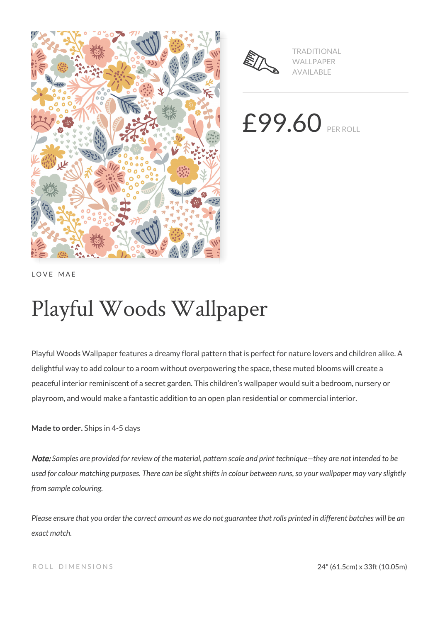



TRADITIONAL WALLPAPER AVAILABLE

£99.60 PER ROLL

LOVE MAE

# Playful Woods Wallpaper

Playful Woods Wallpaper features a dreamy floral pattern that is perfect for nature lovers and children alike. A delightful way to add colour to a room without overpowering the space, these muted blooms will create a peaceful interior reminiscent of a secret garden. This children's wallpaper would suit a bedroom, nursery or playroom, and would make a fantastic addition to an open plan residential or commercial interior.

**Made to order.** Ships in 4-5 days

Note: *Samples are provided for review of the material, pattern scale and print technique—they are not intended to be used for colour matching purposes. There can be slight shifts in colour between runs, so your wallpaper may vary slightly from sample colouring.*

*Please ensure that you order the correct amount as we do not guarantee that rolls printed in different batches will be an exact match.*

ROLL DIMENSIONS 24" (61.5cm) x 33ft (10.05m)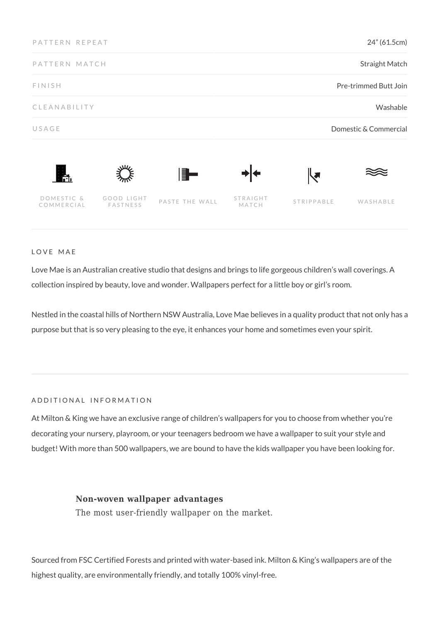| 24" (61.5cm)           |                   |                |                        | PATTERN REPEAT           |
|------------------------|-------------------|----------------|------------------------|--------------------------|
| <b>Straight Match</b>  |                   |                |                        | PATTERN MATCH            |
| Pre-trimmed Butt Join  |                   |                |                        | <b>FINISH</b>            |
| Washable               |                   |                |                        | CLEANABILITY             |
| Domestic & Commercial  |                   |                |                        | USAGE                    |
| ┞┛                     |                   | F              |                        | m.                       |
| STRIPPABLE<br>WASHABLE | STRAIGHT<br>MATCH | PASTE THE WALL | GOOD LIGHT<br>FASTNESS | DOMESTIC &<br>COMMERCIAL |

LOVE MAE

Love Mae is an Australian creative studio that designs and brings to life gorgeous children's wall coverings. A collection inspired by beauty, love and wonder. Wallpapers perfect for a little boy or girl's room.

Nestled in the coastal hills of Northern NSW Australia, Love Mae believes in a quality product that not only has a purpose but that is so very pleasing to the eye, it enhances your home and sometimes even your spirit.

#### ADDITIONAL INFORMATION

At Milton & King we have an exclusive range of children's wallpapers for you to choose from whether you're decorating your nursery, playroom, or your teenagers bedroom we have a wallpaper to suit your style and budget! With more than 500 wallpapers, we are bound to have the kids wallpaper you have been looking for.

## **Non-woven wallpaper advantages**

The most user-friendly wallpaper on the market.

Sourced from FSC Certified Forests and printed with water-based ink. Milton & King's wallpapers are of the highest quality, are environmentally friendly, and totally 100% vinyl-free.